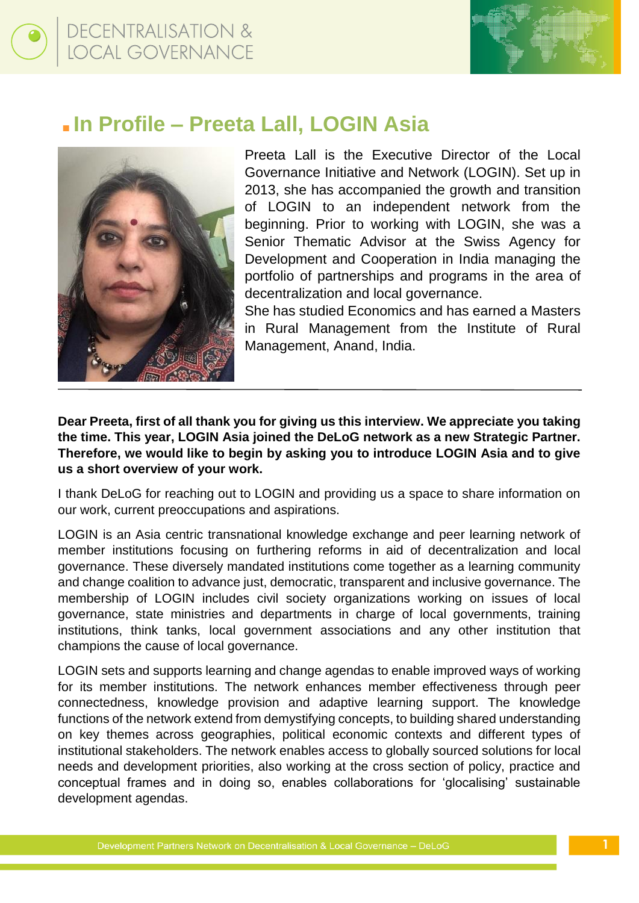

# ■ **In Profile – Preeta Lall, LOGIN Asia**



ECENTRALISATION &<br>DCAL GOVERNANCE

Preeta Lall is the Executive Director of the Local Governance Initiative and Network (LOGIN). Set up in 2013, she has accompanied the growth and transition of LOGIN to an independent network from the beginning. Prior to working with LOGIN, she was a Senior Thematic Advisor at the Swiss Agency for Development and Cooperation in India managing the portfolio of partnerships and programs in the area of decentralization and local governance.

She has studied Economics and has earned a Masters in Rural Management from the Institute of Rural Management, Anand, India.

**Dear Preeta, first of all thank you for giving us this interview. We appreciate you taking the time. This year, LOGIN Asia joined the DeLoG network as a new Strategic Partner. Therefore, we would like to begin by asking you to introduce LOGIN Asia and to give us a short overview of your work.**

I thank DeLoG for reaching out to LOGIN and providing us a space to share information on our work, current preoccupations and aspirations.

LOGIN is an Asia centric transnational knowledge exchange and peer learning network of member institutions focusing on furthering reforms in aid of decentralization and local governance. These diversely mandated institutions come together as a learning community and change coalition to advance just, democratic, transparent and inclusive governance. The membership of LOGIN includes civil society organizations working on issues of local governance, state ministries and departments in charge of local governments, training institutions, think tanks, local government associations and any other institution that champions the cause of local governance.

LOGIN sets and supports learning and change agendas to enable improved ways of working for its member institutions. The network enhances member effectiveness through peer connectedness, knowledge provision and adaptive learning support. The knowledge functions of the network extend from demystifying concepts, to building shared understanding on key themes across geographies, political economic contexts and different types of institutional stakeholders. The network enables access to globally sourced solutions for local needs and development priorities, also working at the cross section of policy, practice and conceptual frames and in doing so, enables collaborations for 'glocalising' sustainable development agendas.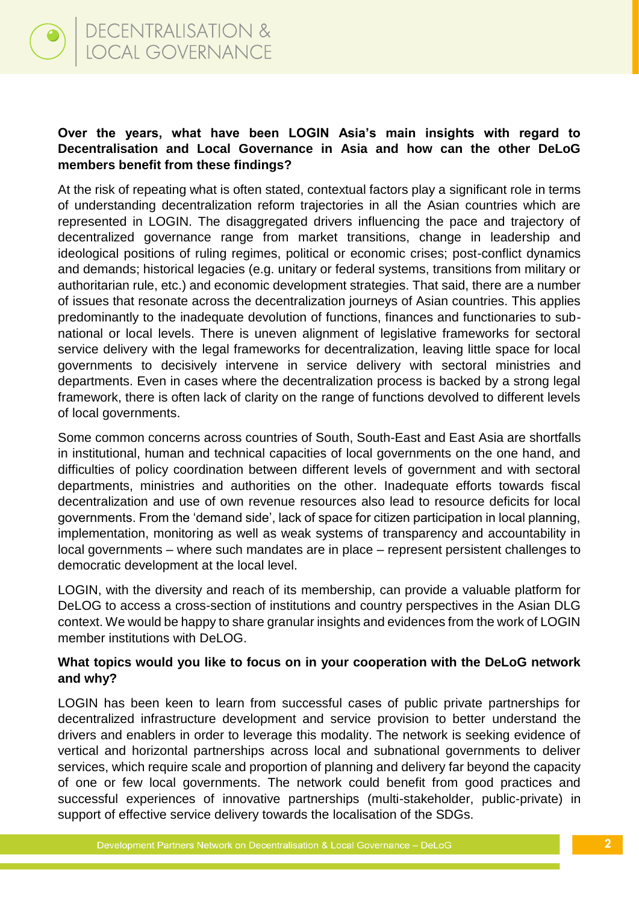# **Over the years, what have been LOGIN Asia's main insights with regard to Decentralisation and Local Governance in Asia and how can the other DeLoG members benefit from these findings?**

At the risk of repeating what is often stated, contextual factors play a significant role in terms of understanding decentralization reform trajectories in all the Asian countries which are represented in LOGIN. The disaggregated drivers influencing the pace and trajectory of decentralized governance range from market transitions, change in leadership and ideological positions of ruling regimes, political or economic crises; post-conflict dynamics and demands; historical legacies (e.g. unitary or federal systems, transitions from military or authoritarian rule, etc.) and economic development strategies. That said, there are a number of issues that resonate across the decentralization journeys of Asian countries. This applies predominantly to the inadequate devolution of functions, finances and functionaries to subnational or local levels. There is uneven alignment of legislative frameworks for sectoral service delivery with the legal frameworks for decentralization, leaving little space for local governments to decisively intervene in service delivery with sectoral ministries and departments. Even in cases where the decentralization process is backed by a strong legal framework, there is often lack of clarity on the range of functions devolved to different levels of local governments.

Some common concerns across countries of South, South-East and East Asia are shortfalls in institutional, human and technical capacities of local governments on the one hand, and difficulties of policy coordination between different levels of government and with sectoral departments, ministries and authorities on the other. Inadequate efforts towards fiscal decentralization and use of own revenue resources also lead to resource deficits for local governments. From the 'demand side', lack of space for citizen participation in local planning, implementation, monitoring as well as weak systems of transparency and accountability in local governments – where such mandates are in place – represent persistent challenges to democratic development at the local level.

LOGIN, with the diversity and reach of its membership, can provide a valuable platform for DeLOG to access a cross-section of institutions and country perspectives in the Asian DLG context. We would be happy to share granular insights and evidences from the work of LOGIN member institutions with DeLOG.

# **What topics would you like to focus on in your cooperation with the DeLoG network and why?**

LOGIN has been keen to learn from successful cases of public private partnerships for decentralized infrastructure development and service provision to better understand the drivers and enablers in order to leverage this modality. The network is seeking evidence of vertical and horizontal partnerships across local and subnational governments to deliver services, which require scale and proportion of planning and delivery far beyond the capacity of one or few local governments. The network could benefit from good practices and successful experiences of innovative partnerships (multi-stakeholder, public-private) in support of effective service delivery towards the localisation of the SDGs.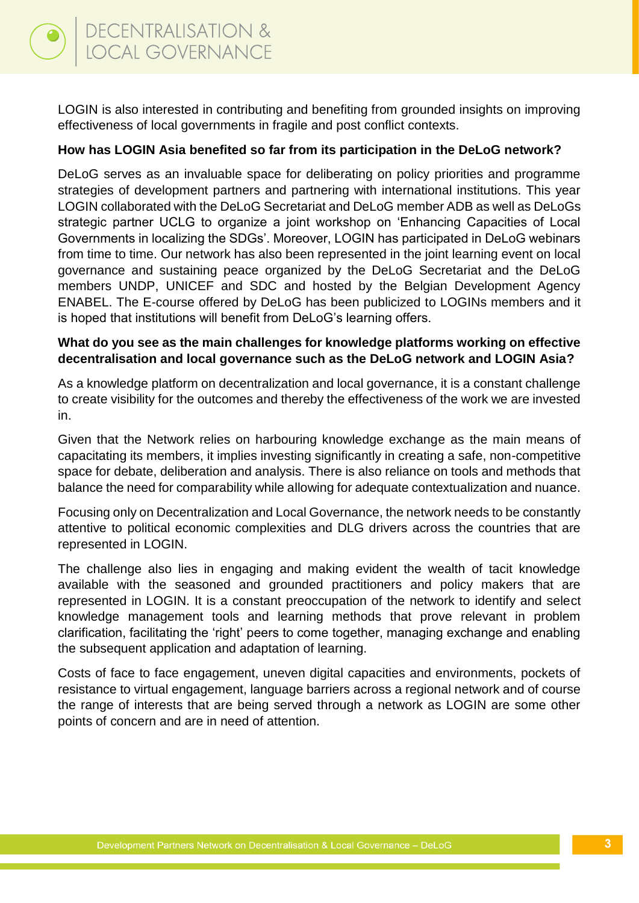LOGIN is also interested in contributing and benefiting from grounded insights on improving effectiveness of local governments in fragile and post conflict contexts.

### **How has LOGIN Asia benefited so far from its participation in the DeLoG network?**

DeLoG serves as an invaluable space for deliberating on policy priorities and programme strategies of development partners and partnering with international institutions. This year LOGIN collaborated with the DeLoG Secretariat and DeLoG member ADB as well as DeLoGs strategic partner UCLG to organize a joint workshop on 'Enhancing Capacities of Local Governments in localizing the SDGs'. Moreover, LOGIN has participated in DeLoG webinars from time to time. Our network has also been represented in the joint learning event on local governance and sustaining peace organized by the DeLoG Secretariat and the DeLoG members UNDP, UNICEF and SDC and hosted by the Belgian Development Agency ENABEL. The E-course offered by DeLoG has been publicized to LOGINs members and it is hoped that institutions will benefit from DeLoG's learning offers.

### **What do you see as the main challenges for knowledge platforms working on effective decentralisation and local governance such as the DeLoG network and LOGIN Asia?**

As a knowledge platform on decentralization and local governance, it is a constant challenge to create visibility for the outcomes and thereby the effectiveness of the work we are invested in.

Given that the Network relies on harbouring knowledge exchange as the main means of capacitating its members, it implies investing significantly in creating a safe, non-competitive space for debate, deliberation and analysis. There is also reliance on tools and methods that balance the need for comparability while allowing for adequate contextualization and nuance.

Focusing only on Decentralization and Local Governance, the network needs to be constantly attentive to political economic complexities and DLG drivers across the countries that are represented in LOGIN.

The challenge also lies in engaging and making evident the wealth of tacit knowledge available with the seasoned and grounded practitioners and policy makers that are represented in LOGIN. It is a constant preoccupation of the network to identify and select knowledge management tools and learning methods that prove relevant in problem clarification, facilitating the 'right' peers to come together, managing exchange and enabling the subsequent application and adaptation of learning.

Costs of face to face engagement, uneven digital capacities and environments, pockets of resistance to virtual engagement, language barriers across a regional network and of course the range of interests that are being served through a network as LOGIN are some other points of concern and are in need of attention.